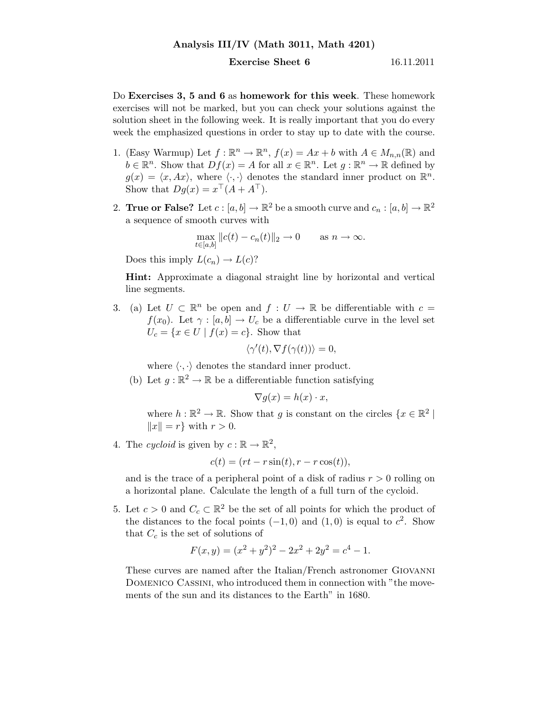## Analysis III/IV (Math 3011, Math 4201)

## **Exercise Sheet 6** 16.11.2011

Do Exercises 3, 5 and 6 as homework for this week. These homework exercises will not be marked, but you can check your solutions against the solution sheet in the following week. It is really important that you do every week the emphasized questions in order to stay up to date with the course.

- 1. (Easy Warmup) Let  $f: \mathbb{R}^n \to \mathbb{R}^n$ ,  $f(x) = Ax + b$  with  $A \in M_{n,n}(\mathbb{R})$  and  $b \in \mathbb{R}^n$ . Show that  $Df(x) = A$  for all  $x \in \mathbb{R}^n$ . Let  $g : \mathbb{R}^n \to \mathbb{R}$  defined by  $g(x) = \langle x, Ax \rangle$ , where  $\langle \cdot, \cdot \rangle$  denotes the standard inner product on  $\mathbb{R}^n$ . Show that  $Dg(x) = x^{\top} (A + A^{\top}).$
- 2. **True or False?** Let  $c : [a, b] \to \mathbb{R}^2$  be a smooth curve and  $c_n : [a, b] \to \mathbb{R}^2$ a sequence of smooth curves with

$$
\max_{t \in [a,b]} \|c(t) - c_n(t)\|_2 \to 0 \quad \text{as } n \to \infty.
$$

Does this imply  $L(c_n) \to L(c)$ ?

Hint: Approximate a diagonal straight line by horizontal and vertical line segments.

3. (a) Let  $U \subset \mathbb{R}^n$  be open and  $f: U \to \mathbb{R}$  be differentiable with  $c =$  $f(x_0)$ . Let  $\gamma : [a, b] \to U_c$  be a differentiable curve in the level set  $U_c = \{x \in U \mid f(x) = c\}.$  Show that

$$
\langle \gamma'(t), \nabla f(\gamma(t)) \rangle = 0,
$$

where  $\langle \cdot, \cdot \rangle$  denotes the standard inner product.

(b) Let  $g : \mathbb{R}^2 \to \mathbb{R}$  be a differentiable function satisfying

$$
\nabla g(x) = h(x) \cdot x,
$$

where  $h : \mathbb{R}^2 \to \mathbb{R}$ . Show that g is constant on the circles  $\{x \in \mathbb{R}^2 \mid \mathbb{R}^2 \to \mathbb{R}^2 \}$  $||x|| = r$  with  $r > 0$ .

4. The cycloid is given by  $c : \mathbb{R} \to \mathbb{R}^2$ ,

$$
c(t) = (rt - r\sin(t), r - r\cos(t)),
$$

and is the trace of a peripheral point of a disk of radius  $r > 0$  rolling on a horizontal plane. Calculate the length of a full turn of the cycloid.

5. Let  $c > 0$  and  $C_c \subset \mathbb{R}^2$  be the set of all points for which the product of the distances to the focal points  $(-1,0)$  and  $(1,0)$  is equal to  $c^2$ . Show that  $C_c$  is the set of solutions of

$$
F(x, y) = (x2 + y2)2 - 2x2 + 2y2 = c4 - 1.
$$

These curves are named after the Italian/French astronomer Giovanni DOMENICO CASSINI, who introduced them in connection with "the movements of the sun and its distances to the Earth" in 1680.